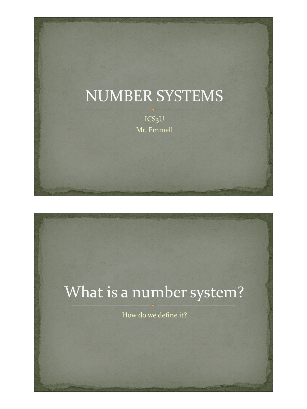## NUMBER SYSTEMS

ICS3U Mr. Emmell

# What is a number system?

How do we define it?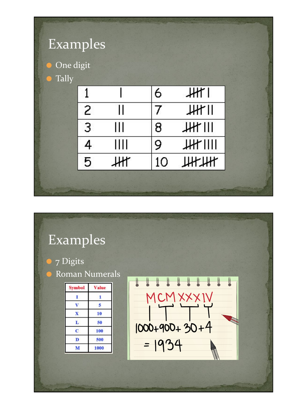| One digit | Examples |    |    |                 |  |
|-----------|----------|----|----|-----------------|--|
| Tally     |          |    |    |                 |  |
|           |          |    | 6  | J <sub>H</sub>  |  |
|           | 2        |    |    | <b>HHTII</b>    |  |
|           | 3        | Ш  | 8  | JH              |  |
|           | 4        | Ш  | 9  | <b>JHT IIII</b> |  |
|           | 5        | Жľ | 10 | ШНИ             |  |

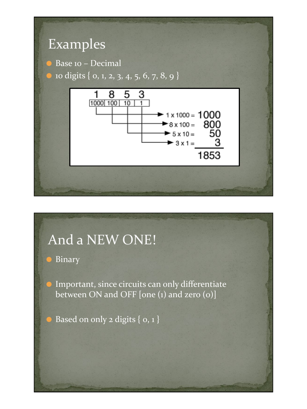

### And a NEW ONE!

⚫ Binary

**Important, since circuits can only differentiate** between ON and OFF [one (1) and zero (0)]

 $\bullet$  Based on only 2 digits {  $o, 1$  }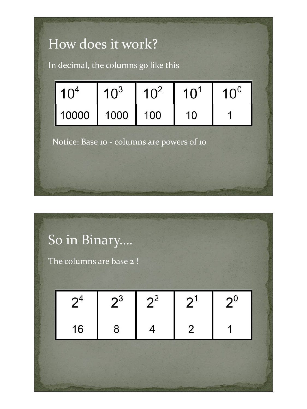

| So in Binary<br>The columns are base 2! |                |       |       |                |       |  |
|-----------------------------------------|----------------|-------|-------|----------------|-------|--|
|                                         | 2 <sup>4</sup> | $2^3$ | $2^2$ | 2 <sup>1</sup> | $2^0$ |  |
|                                         | 16             | 8     |       | 2              |       |  |
|                                         |                |       |       |                |       |  |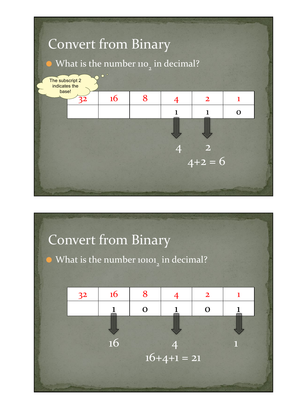

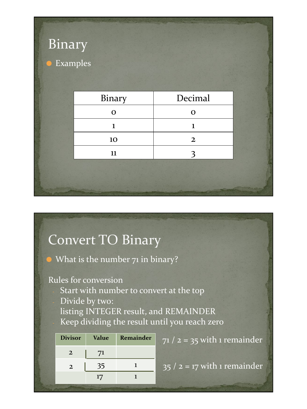| Binary             |              |                |  |
|--------------------|--------------|----------------|--|
| Examples<br>$\Box$ |              |                |  |
|                    |              |                |  |
|                    | Binary       | Decimal        |  |
|                    | $\mathbf O$  | $\mathbf O$    |  |
|                    | $\mathbf{1}$ | $\mathbf{1}$   |  |
|                    | 10           | $\overline{2}$ |  |
|                    | ${\bf 11}$   | 3              |  |
|                    |              |                |  |
|                    |              |                |  |
|                    |              |                |  |

## Convert TO Binary

⚫ What is the number 71 in binary?

Rules for conversion

- Start with number to convert at the top
- Divide by two:

listing INTEGER result, and REMAINDER Keep dividing the result until you reach zero

| <b>Divisor</b> | <b>Value</b> | <b>Remainder</b> |
|----------------|--------------|------------------|
| 2              | 71           |                  |
| $\overline{2}$ | 35           |                  |
|                | 17           |                  |
|                |              |                  |

 $71 / 2 = 35$  with 1 remainder

 $35 / 2 = 17$  with 1 remainder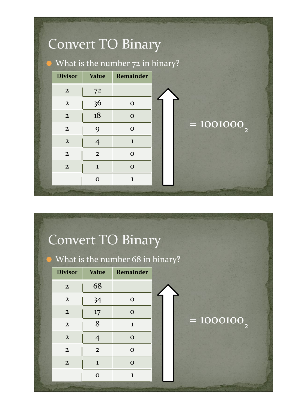